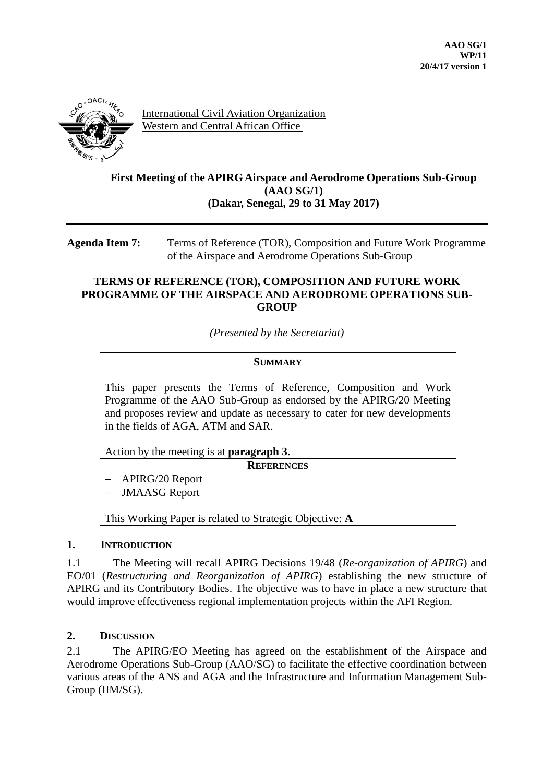

International Civil Aviation Organization Western and Central African Office

# **First Meeting of the APIRG Airspace and Aerodrome Operations Sub-Group (AAO SG/1) (Dakar, Senegal, 29 to 31 May 2017)**

**Agenda Item 7:** Terms of Reference (TOR), Composition and Future Work Programme of the Airspace and Aerodrome Operations Sub-Group

### **TERMS OF REFERENCE (TOR), COMPOSITION AND FUTURE WORK PROGRAMME OF THE AIRSPACE AND AERODROME OPERATIONS SUB-GROUP**

*(Presented by the Secretariat)*

#### **SUMMARY**

This paper presents the Terms of Reference, Composition and Work Programme of the AAO Sub-Group as endorsed by the APIRG/20 Meeting and proposes review and update as necessary to cater for new developments in the fields of AGA, ATM and SAR.

Action by the meeting is at **paragraph 3.**

**REFERENCES**

APIRG/20 Report

JMAASG Report

This Working Paper is related to Strategic Objective: **A**

#### **1. INTRODUCTION**

1.1 The Meeting will recall APIRG Decisions 19/48 (*Re-organization of APIRG*) and EO/01 (*Restructuring and Reorganization of APIRG*) establishing the new structure of APIRG and its Contributory Bodies. The objective was to have in place a new structure that would improve effectiveness regional implementation projects within the AFI Region.

# **2. DISCUSSION**

2.1 The APIRG/EO Meeting has agreed on the establishment of the Airspace and Aerodrome Operations Sub-Group (AAO/SG) to facilitate the effective coordination between various areas of the ANS and AGA and the Infrastructure and Information Management Sub-Group (IIM/SG).